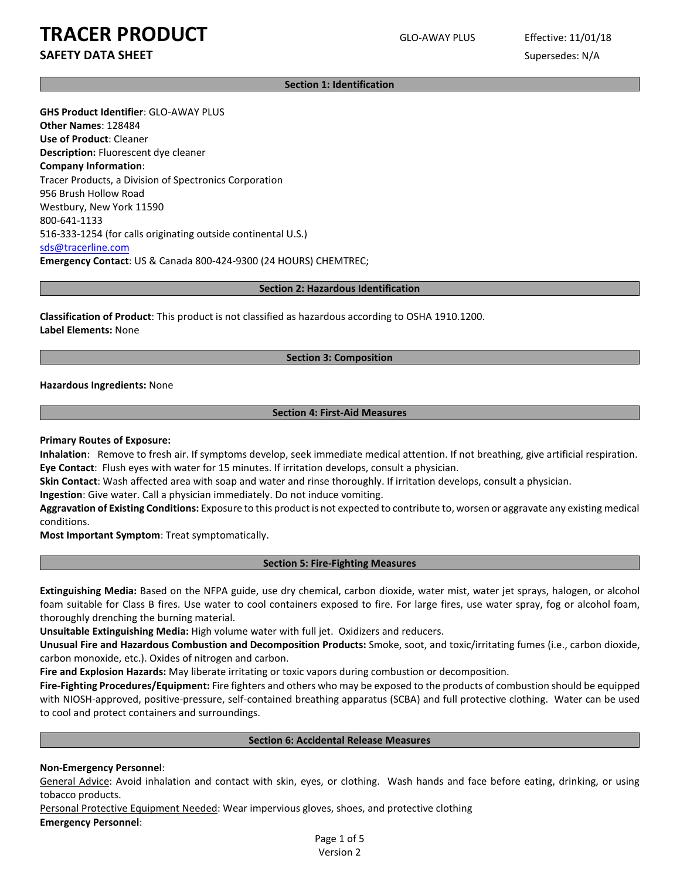# **TRACER PRODUCT** GLO-AWAY PLUS Effective: 11/01/18

## **SAFETY DATA SHEET** SUPERFOUR SUPERFOUR SUPERFOUR SUPERFOUR SUPERFOUR SUPERFOUR SUPERFOUR SUPERFOUR SUPERFOUR SUPERFOUR SUPERFOUR SUPERFOUR SUPERFOUR SUPERFOUR SUPERFOUR SUPERFOUR SUPERFOUR SUPERFOUR SUPERFOUR SUPERFOUR SU

**Section 1: Identification**

**GHS Product Identifier**: GLO-AWAY PLUS **Other Names**: 128484 **Use of Product**: Cleaner **Description:** Fluorescent dye cleaner **Company Information**: Tracer Products, a Division of Spectronics Corporation 956 Brush Hollow Road Westbury, New York 11590 800-641-1133 516-333-1254 (for calls originating outside continental U.S.) [sds@tracerline.com](mailto:sds@tracerline.com) **Emergency Contact**: US & Canada 800-424-9300 (24 HOURS) CHEMTREC;

#### **Section 2: Hazardous Identification**

**Classification of Product**: This product is not classified as hazardous according to OSHA 1910.1200. **Label Elements:** None

#### **Section 3: Composition**

**Hazardous Ingredients:** None

#### **Section 4: First-Aid Measures**

#### **Primary Routes of Exposure:**

**Inhalation**: Remove to fresh air. If symptoms develop, seek immediate medical attention. If not breathing, give artificial respiration. **Eye Contact**: Flush eyes with water for 15 minutes. If irritation develops, consult a physician.

**Skin Contact**: Wash affected area with soap and water and rinse thoroughly. If irritation develops, consult a physician.

**Ingestion**: Give water. Call a physician immediately. Do not induce vomiting.

**Aggravation of Existing Conditions:** Exposure to this product is not expected to contribute to, worsen or aggravate any existing medical conditions.

**Most Important Symptom**: Treat symptomatically.

#### **Section 5: Fire-Fighting Measures**

**Extinguishing Media:** Based on the NFPA guide, use dry chemical, carbon dioxide, water mist, water jet sprays, halogen, or alcohol foam suitable for Class B fires. Use water to cool containers exposed to fire. For large fires, use water spray, fog or alcohol foam, thoroughly drenching the burning material.

**Unsuitable Extinguishing Media:** High volume water with full jet. Oxidizers and reducers.

**Unusual Fire and Hazardous Combustion and Decomposition Products:** Smoke, soot, and toxic/irritating fumes (i.e., carbon dioxide, carbon monoxide, etc.). Oxides of nitrogen and carbon.

**Fire and Explosion Hazards:** May liberate irritating or toxic vapors during combustion or decomposition.

**Fire-Fighting Procedures/Equipment:** Fire fighters and others who may be exposed to the products of combustion should be equipped with NIOSH-approved, positive-pressure, self-contained breathing apparatus (SCBA) and full protective clothing. Water can be used to cool and protect containers and surroundings.

#### **Section 6: Accidental Release Measures**

#### **Non-Emergency Personnel**:

General Advice: Avoid inhalation and contact with skin, eyes, or clothing. Wash hands and face before eating, drinking, or using tobacco products.

Personal Protective Equipment Needed: Wear impervious gloves, shoes, and protective clothing **Emergency Personnel**:

> Page 1 of 5 Version 2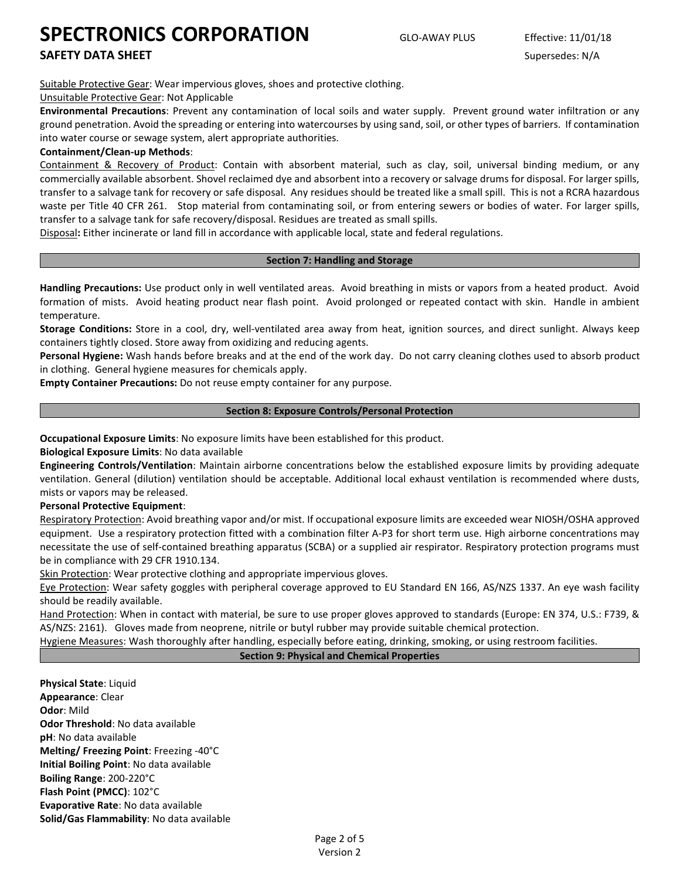### **SAFETY DATA SHEET** SUPERFOUR SUPERFOUR SUPERFOUR SUPERFOUR SUPERFOUR SUPERFOUR SUPERFOUR SUPERFOUR SUPERFOUR SUPERFOUR SUPERFOUR SUPERFOUR SUPERFOUR SUPERFOUR SUPERFOUR SUPERFOUR SUPERFOUR SUPERFOUR SUPERFOUR SUPERFOUR SU

Suitable Protective Gear: Wear impervious gloves, shoes and protective clothing.

#### Unsuitable Protective Gear: Not Applicable

**Environmental Precautions**: Prevent any contamination of local soils and water supply. Prevent ground water infiltration or any ground penetration. Avoid the spreading or entering into watercourses by using sand, soil, or other types of barriers. If contamination into water course or sewage system, alert appropriate authorities.

#### **Containment/Clean-up Methods**:

Containment & Recovery of Product: Contain with absorbent material, such as clay, soil, universal binding medium, or any commercially available absorbent. Shovel reclaimed dye and absorbent into a recovery or salvage drums for disposal. For larger spills, transfer to a salvage tank for recovery or safe disposal. Any residues should be treated like a small spill. This is not a RCRA hazardous waste per Title 40 CFR 261. Stop material from contaminating soil, or from entering sewers or bodies of water. For larger spills, transfer to a salvage tank for safe recovery/disposal. Residues are treated as small spills.

Disposal**:** Either incinerate or land fill in accordance with applicable local, state and federal regulations.

#### **Section 7: Handling and Storage**

**Handling Precautions:** Use product only in well ventilated areas. Avoid breathing in mists or vapors from a heated product. Avoid formation of mists. Avoid heating product near flash point. Avoid prolonged or repeated contact with skin. Handle in ambient temperature.

**Storage Conditions:** Store in a cool, dry, well-ventilated area away from heat, ignition sources, and direct sunlight. Always keep containers tightly closed. Store away from oxidizing and reducing agents.

**Personal Hygiene:** Wash hands before breaks and at the end of the work day. Do not carry cleaning clothes used to absorb product in clothing. General hygiene measures for chemicals apply.

**Empty Container Precautions:** Do not reuse empty container for any purpose.

#### **Section 8: Exposure Controls/Personal Protection**

**Occupational Exposure Limits**: No exposure limits have been established for this product.

**Biological Exposure Limits**: No data available

**Engineering Controls/Ventilation**: Maintain airborne concentrations below the established exposure limits by providing adequate ventilation. General (dilution) ventilation should be acceptable. Additional local exhaust ventilation is recommended where dusts, mists or vapors may be released.

#### **Personal Protective Equipment**:

Respiratory Protection: Avoid breathing vapor and/or mist. If occupational exposure limits are exceeded wear NIOSH/OSHA approved equipment. Use a respiratory protection fitted with a combination filter A-P3 for short term use. High airborne concentrations may necessitate the use of self-contained breathing apparatus (SCBA) or a supplied air respirator. Respiratory protection programs must be in compliance with 29 CFR 1910.134.

Skin Protection: Wear protective clothing and appropriate impervious gloves.

Eye Protection: Wear safety goggles with peripheral coverage approved to EU Standard EN 166, AS/NZS 1337. An eye wash facility should be readily available.

Hand Protection: When in contact with material, be sure to use proper gloves approved to standards (Europe: EN 374, U.S.: F739, & AS/NZS: 2161). Gloves made from neoprene, nitrile or butyl rubber may provide suitable chemical protection.

Hygiene Measures: Wash thoroughly after handling, especially before eating, drinking, smoking, or using restroom facilities.

#### **Section 9: Physical and Chemical Properties**

**Physical State**: Liquid **Appearance**: Clear **Odor**: Mild **Odor Threshold**: No data available **pH**: No data available **Melting/ Freezing Point**: Freezing -40°C **Initial Boiling Point**: No data available **Boiling Range**: 200-220°C **Flash Point (PMCC)**: 102°C **Evaporative Rate**: No data available **Solid/Gas Flammability**: No data available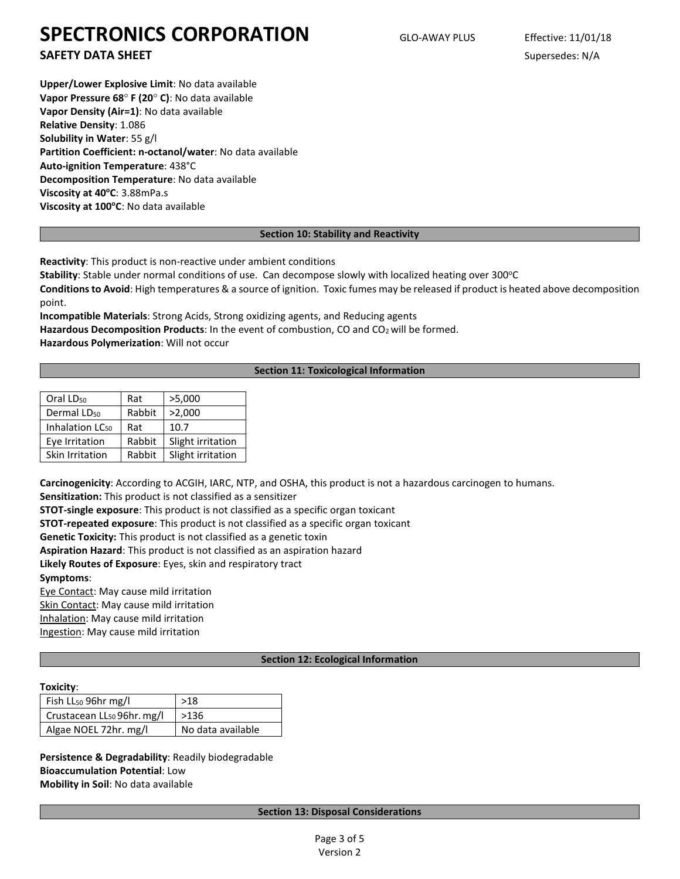**SAFETY DATA SHEET** SUPERFOUR SUPERFOUR SUPERFOUR SUPERFOUR SUPERFOUR SUPERFOUR SUPERFOUR SUPERFOUR SUPERFOUR SUPERFOUR SUPERFOUR SUPERFOUR SUPERFOUR SUPERFOUR SUPERFOUR SUPERFOUR SUPERFOUR SUPERFOUR SUPERFOUR SUPERFOUR SU

**Upper/Lower Explosive Limit**: No data available **Vapor Pressure 68**° **F (20**° **C)**: No data available **Vapor Density (Air=1)**: No data available **Relative Density**: 1.086 **Solubility in Water**: 55 g/l **Partition Coefficient: n-octanol/water**: No data available **Auto-ignition Temperature**: 438°C **Decomposition Temperature**: No data available Viscosity at 40°C: 3.88mPa.s **Viscosity at 100°C**: No data available

#### **Section 10: Stability and Reactivity**

**Reactivity**: This product is non-reactive under ambient conditions

Stability: Stable under normal conditions of use. Can decompose slowly with localized heating over 300°C

**Conditions to Avoid**: High temperatures & a source of ignition. Toxic fumes may be released if product is heated above decomposition point.

**Incompatible Materials**: Strong Acids, Strong oxidizing agents, and Reducing agents Hazardous Decomposition Products: In the event of combustion, CO and CO<sub>2</sub> will be formed. **Hazardous Polymerization**: Will not occur

#### **Section 11: Toxicological Information**

| Oral LD <sub>50</sub>       | Rat    | >5,000            |
|-----------------------------|--------|-------------------|
| Dermal LD <sub>50</sub>     | Rabbit | >2,000            |
| Inhalation LC <sub>50</sub> | Rat    | 10.7              |
| Eye Irritation              | Rabbit | Slight irritation |
| Skin Irritation             | Rabbit | Slight irritation |

**Carcinogenicity**: According to ACGIH, IARC, NTP, and OSHA, this product is not a hazardous carcinogen to humans.

**Sensitization:** This product is not classified as a sensitizer

**STOT-single exposure**: This product is not classified as a specific organ toxicant

**STOT-repeated exposure**: This product is not classified as a specific organ toxicant

**Genetic Toxicity:** This product is not classified as a genetic toxin

**Aspiration Hazard**: This product is not classified as an aspiration hazard

**Likely Routes of Exposure**: Eyes, skin and respiratory tract

**Symptoms**:

Eye Contact: May cause mild irritation Skin Contact: May cause mild irritation Inhalation: May cause mild irritation Ingestion: May cause mild irritation

#### **Section 12: Ecological Information**

#### **Toxicity**:

| Fish LL <sub>50</sub> 96hr mg/l        | >18               |
|----------------------------------------|-------------------|
| Crustacean LL <sub>50</sub> 96hr. mg/l | >136              |
| Algae NOEL 72hr. mg/l                  | No data available |

**Persistence & Degradability**: Readily biodegradable **Bioaccumulation Potential**: Low **Mobility in Soil**: No data available

#### **Section 13: Disposal Considerations**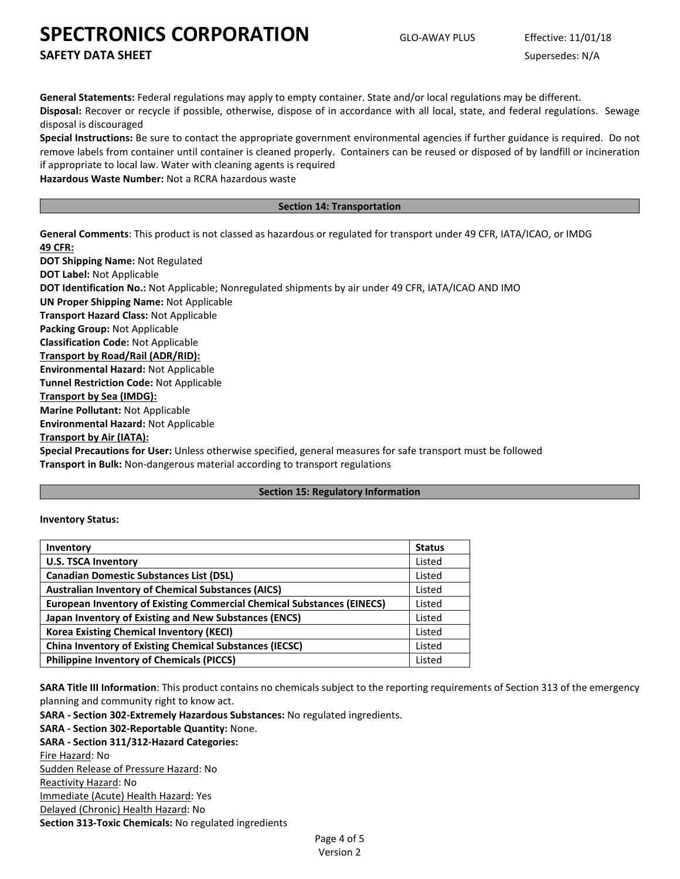**SAFETY DATA SHEET** SUPERFOUR SUPERFOUR SUPERFOUR SUPERFOUR SUPERFOUR SUPERFOUR SUPERFOUR SUPERFOUR SUPERFOUR SUPERFOUR SUPERFOUR SUPERFOUR SUPERFOUR SUPERFOUR SUPERFOUR SUPERFOUR SUPERFOUR SUPERFOUR SUPERFOUR SUPERFOUR SU

**General Statements:** Federal regulations may apply to empty container. State and/or local regulations may be different. **Disposal:** Recover or recycle if possible, otherwise, dispose of in accordance with all local, state, and federal regulations. Sewage disposal is discouraged

**Special Instructions:** Be sure to contact the appropriate government environmental agencies if further guidance is required. Do not remove labels from container until container is cleaned properly. Containers can be reused or disposed of by landfill or incineration if appropriate to local law. Water with cleaning agents is required

**Hazardous Waste Number:** Not a RCRA hazardous waste

#### **Section 14: Transportation**

**General Comments**: This product is not classed as hazardous or regulated for transport under 49 CFR, IATA/ICAO, or IMDG **49 CFR:**

**DOT Shipping Name:** Not Regulated **DOT Label:** Not Applicable **DOT Identification No.:** Not Applicable; Nonregulated shipments by air under 49 CFR, IATA/ICAO AND IMO **UN Proper Shipping Name:** Not Applicable **Transport Hazard Class:** Not Applicable **Packing Group:** Not Applicable **Classification Code:** Not Applicable **Transport by Road/Rail (ADR/RID): Environmental Hazard:** Not Applicable **Tunnel Restriction Code:** Not Applicable **Transport by Sea (IMDG): Marine Pollutant:** Not Applicable **Environmental Hazard:** Not Applicable

**Transport by Air (IATA):**

**Special Precautions for User:** Unless otherwise specified, general measures for safe transport must be followed **Transport in Bulk:** Non-dangerous material according to transport regulations

#### **Section 15: Regulatory Information**

#### **Inventory Status:**

| <b>Inventory</b>                                                              | <b>Status</b> |
|-------------------------------------------------------------------------------|---------------|
| <b>U.S. TSCA Inventory</b>                                                    | Listed        |
| <b>Canadian Domestic Substances List (DSL)</b>                                | Listed        |
| <b>Australian Inventory of Chemical Substances (AICS)</b>                     |               |
| <b>European Inventory of Existing Commercial Chemical Substances (EINECS)</b> | Listed        |
| Japan Inventory of Existing and New Substances (ENCS)                         | Listed        |
| <b>Korea Existing Chemical Inventory (KECI)</b>                               |               |
| <b>China Inventory of Existing Chemical Substances (IECSC)</b>                | Listed        |
| <b>Philippine Inventory of Chemicals (PICCS)</b>                              | Listed        |

**SARA Title III Information**: This product contains no chemicals subject to the reporting requirements of Section 313 of the emergency planning and community right to know act.

**SARA - Section 302-Extremely Hazardous Substances:** No regulated ingredients.

**SARA - Section 302-Reportable Quantity:** None.

**SARA - Section 311/312-Hazard Categories:**

Fire Hazard: No

Sudden Release of Pressure Hazard: No Reactivity Hazard: No

Immediate (Acute) Health Hazard: Yes

Delayed (Chronic) Health Hazard: No **Section 313-Toxic Chemicals:** No regulated ingredients

Page 4 of 5 Version 2